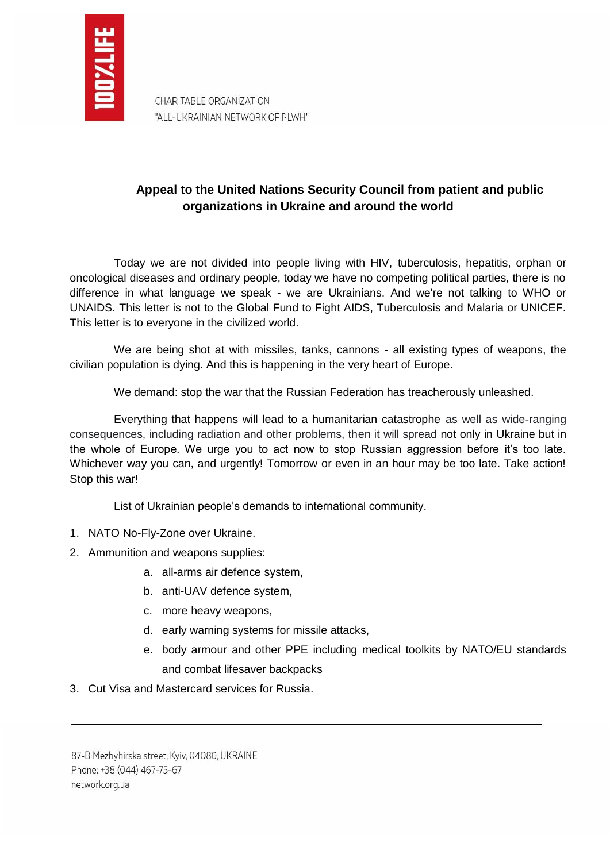

CHARITABLE ORGANIZATION "ALL-UKRAINIAN NETWORK OF PLWH"

## **Appeal to the United Nations Security Council from patient and public organizations in Ukraine and around the world**

Today we are not divided into people living with HIV, tuberculosis, hepatitis, orphan or oncological diseases and ordinary people, today we have no competing political parties, there is no difference in what language we speak - we are Ukrainians. And we're not talking to WHO or UNAIDS. This letter is not to the Global Fund to Fight AIDS, Tuberculosis and Malaria or UNICEF. This letter is to everyone in the civilized world.

We are being shot at with missiles, tanks, cannons - all existing types of weapons, the civilian population is dying. And this is happening in the very heart of Europe.

We demand: stop the war that the Russian Federation has treacherously unleashed.

Everything that happens will lead to a humanitarian catastrophe as well as wide-ranging consequences, including radiation and other problems, then it will spread not only in Ukraine but in the whole of Europe. We urge you to act now to stop Russian aggression before it's too late. Whichever way you can, and urgently! Tomorrow or even in an hour may be too late. Take action! Stop this war!

List of Ukrainian people's demands to international community.

- 1. NATO No-Fly-Zone over Ukraine.
- 2. Ammunition and weapons supplies:
	- a. all-arms air defence system,
	- b. anti-UAV defence system,
	- c. more heavy weapons,
	- d. early warning systems for missile attacks,
	- e. body armour and other PPE including medical toolkits by NATO/EU standards and combat lifesaver backpacks
- 3. Cut Visa and Mastercard services for Russia.

87-B Mezhyhirska street, Kyiv, 04080, UKRAINE Phone: +38 (044) 467-75-67 network.org.ua